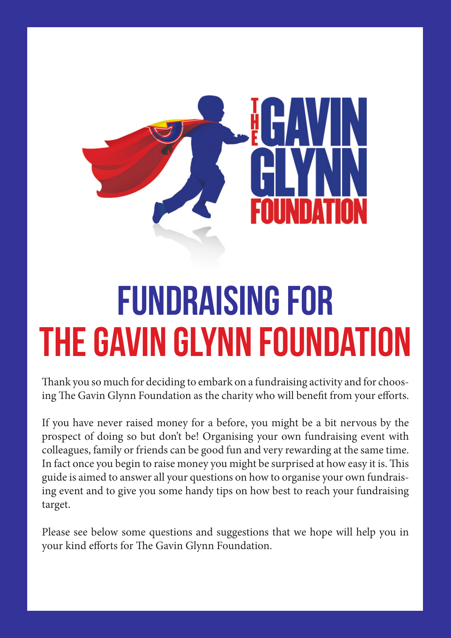

# FUNDRAISING FOR THE GAVIN GLYNN FOUNDATION

Thank you so much for deciding to embark on a fundraising activity and for choosing The Gavin Glynn Foundation as the charity who will benefit from your efforts.

If you have never raised money for a before, you might be a bit nervous by the prospect of doing so but don't be! Organising your own fundraising event with colleagues, family or friends can be good fun and very rewarding at the same time. In fact once you begin to raise money you might be surprised at how easy it is. This guide is aimed to answer all your questions on how to organise your own fundraising event and to give you some handy tips on how best to reach your fundraising target.

Please see below some questions and suggestions that we hope will help you in your kind efforts for The Gavin Glynn Foundation.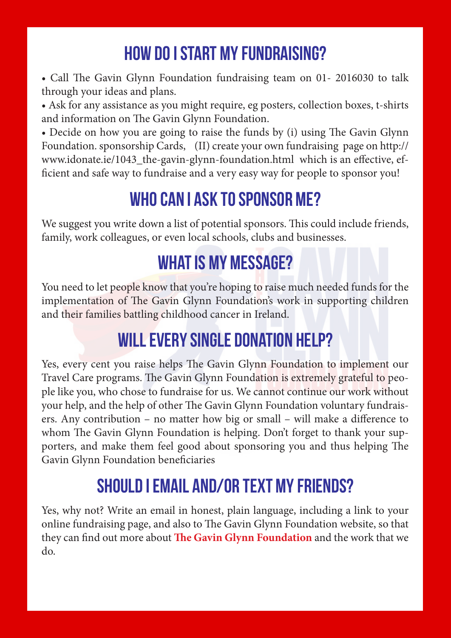## How do I start my fundraising?

• Call The Gavin Glynn Foundation fundraising team on 01- 2016030 to talk through your ideas and plans.

• Ask for any assistance as you might require, eg posters, collection boxes, t-shirts and information on The Gavin Glynn Foundation.

• Decide on how you are going to raise the funds by (i) using The Gavin Glynn Foundation. sponsorship Cards, (II) create your own fundraising page on http:// www.idonate.ie/1043\_the-gavin-glynn-foundation.html which is an effective, efficient and safe way to fundraise and a very easy way for people to sponsor you!

#### Who can I ask to sponsor me?

We suggest you write down a list of potential sponsors. This could include friends, family, work colleagues, or even local schools, clubs and businesses.

#### WHAT IS MY MESSAGE?

You need to let people know that you're hoping to raise much needed funds for the implementation of The Gavin Glynn Foundation's work in supporting children and their families battling childhood cancer in Ireland.

#### WILL EVERY SINGLE DONATION HELP?

Yes, every cent you raise helps The Gavin Glynn Foundation to implement our Travel Care programs. The Gavin Glynn Foundation is extremely grateful to people like you, who chose to fundraise for us. We cannot continue our work without your help, and the help of other The Gavin Glynn Foundation voluntary fundraisers. Any contribution – no matter how big or small – will make a difference to whom The Gavin Glynn Foundation is helping. Don't forget to thank your supporters, and make them feel good about sponsoring you and thus helping The Gavin Glynn Foundation beneficiaries

#### Should I email and/or text my friends?

Yes, why not? Write an email in honest, plain language, including a link to your online fundraising page, and also to The Gavin Glynn Foundation website, so that they can find out more about **The Gavin Glynn Foundation** and the work that we do.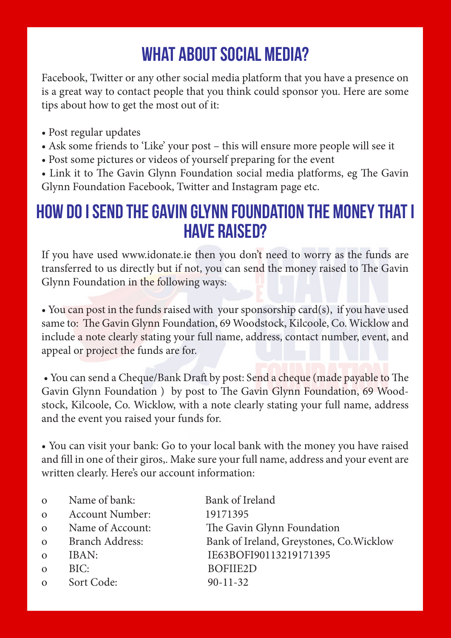## WHAT ABOUT SOCIAL MEDIA?

Facebook, Twitter or any other social media platform that you have a presence on is a great way to contact people that you think could sponsor you. Here are some tips about how to get the most out of it:

- Post regular updates
- Ask some friends to 'Like' your post this will ensure more people will see it
- Post some pictures or videos of yourself preparing for the event

• Link it to The Gavin Glynn Foundation social media platforms, eg The Gavin Glynn Foundation Facebook, Twitter and Instagram page etc.

#### How do I send The Gavin Glynn Foundation the money that I have raised?

If you have used www.idonate.ie then you don't need to worry as the funds are transferred to us directly but if not, you can send the money raised to The Gavin Glynn Foundation in the following ways:

• You can post in the funds raised with your sponsorship card(s), if you have used same to: The Gavin Glynn Foundation, 69 Woodstock, Kilcoole, Co. Wicklow and include a note clearly stating your full name, address, contact number, event, and appeal or project the funds are for.

 • You can send a Cheque/Bank Draft by post: Send a cheque (made payable to The Gavin Glynn Foundation ) by post to The Gavin Glynn Foundation, 69 Woodstock, Kilcoole, Co. Wicklow, with a note clearly stating your full name, address and the event you raised your funds for.

• You can visit your bank: Go to your local bank with the money you have raised and fill in one of their giros,. Make sure your full name, address and your event are written clearly. Here's our account information:

o Name of bank: Bank of Ireland o Account Number: 19171395 o Name of Account: The Gavin Glynn Foundation o Branch Address: Bank of Ireland, Greystones, Co.Wicklow o IBAN: IE63BOFI90113219171395 o BIC: BOFIIE2D o Sort Code: 90-11-32